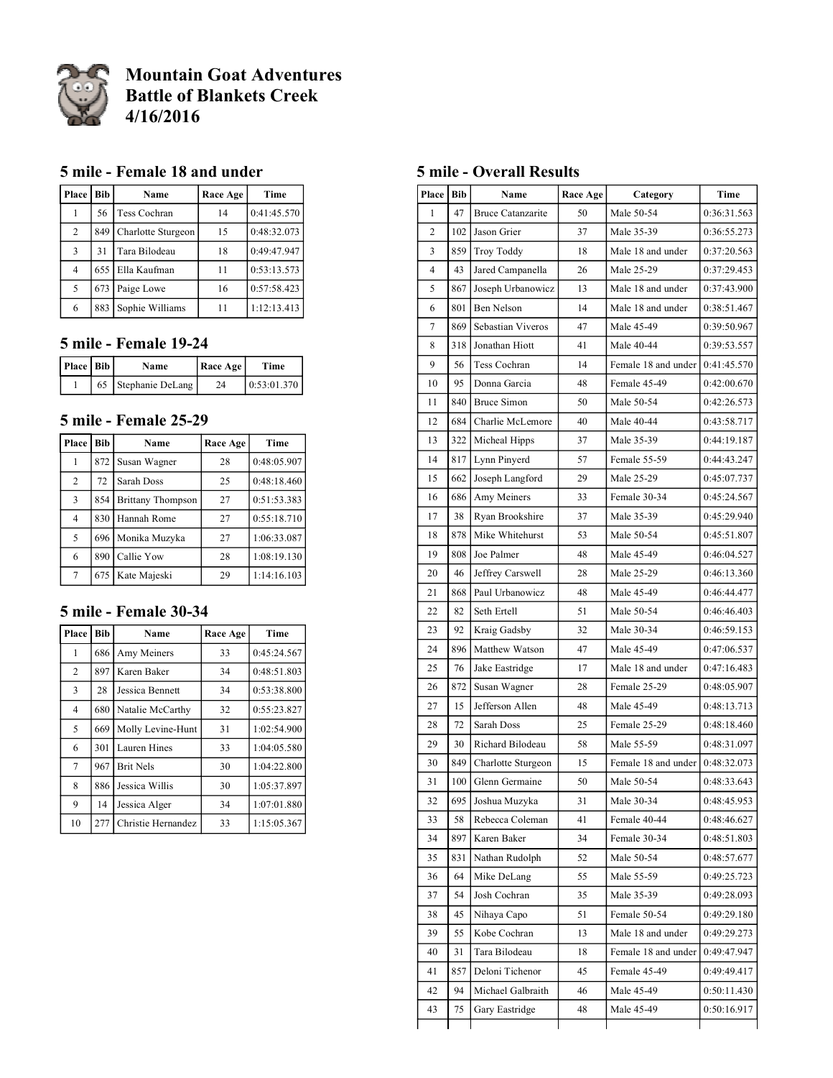

# **Mountain Goat Adventures Battle of Blankets Creek 4/16/2016**

#### **5 mile - Female 18 and under**

| Place          | <b>Bib</b> | Name               | Race Age | Time        |
|----------------|------------|--------------------|----------|-------------|
|                | 56         | Tess Cochran       | 14       | 0:41:45.570 |
| $\overline{2}$ | 849        | Charlotte Sturgeon | 15       | 0:48:32.073 |
| 3              | 31         | Tara Bilodeau      | 18       | 0:49:47.947 |
| $\overline{4}$ |            | 655 Ella Kaufman   | 11       | 0:53:13.573 |
| 5              | 673        | Paige Lowe         | 16       | 0:57:58.423 |
| 6              | 883        | Sophie Williams    |          | 1:12:13.413 |

#### **5 mile - Female 19-24**

| Place   Bib | Name                | <b>Race Age</b> | Time        |
|-------------|---------------------|-----------------|-------------|
|             | 65 Stephanie DeLang | 74              | 0:53:01.370 |

#### **5 mile - Female 25-29**

| <b>Place</b> l           | Bib | Name                     | Race Age | Time        |
|--------------------------|-----|--------------------------|----------|-------------|
|                          | 872 | Susan Wagner             | 28       | 0:48:05.907 |
| $\overline{c}$           | 72  | Sarah Doss               | 25       | 0:48:18.460 |
| 3                        | 854 | <b>Brittany Thompson</b> | 27       | 0:51:53.383 |
| 4                        | 830 | Hannah Rome              | 27       | 0:55:18.710 |
| $\overline{\phantom{0}}$ |     | 696   Monika Muzyka      | 27       | 1:06:33.087 |
| 6                        | 890 | Callie Yow               | 28       | 1:08:19.130 |
| 7                        | 675 | Kate Majeski             | 29       | 1:14:16.103 |

# **5 mile - Female 30-34**

| Place          | <b>Bib</b> | Name               | Race Age | Time        |
|----------------|------------|--------------------|----------|-------------|
| 1              | 686        | Amy Meiners        | 33       | 0:45:24.567 |
| 2              | 897        | Karen Baker        | 34       | 0:48:51.803 |
| 3              | 28         | Jessica Bennett    | 34       | 0:53:38.800 |
| $\overline{4}$ | 680        | Natalie McCarthy   | 32       | 0:55:23.827 |
| 5              | 669        | Molly Levine-Hunt  | 31       | 1:02:54.900 |
| 6              | 301        | Lauren Hines       | 33       | 1:04:05.580 |
| 7              | 967        | <b>Brit Nels</b>   | 30       | 1:04:22.800 |
| 8              | 886        | Jessica Willis     | 30       | 1:05:37.897 |
| 9              | 14         | Jessica Alger      | 34       | 1:07:01.880 |
| 10             | 277        | Christie Hernandez | 33       | 1:15:05.367 |

#### **5 mile - Overall Results**

| <b>Place</b>   | <b>Bib</b> | Name                     | Race Age | Category            | Time        |
|----------------|------------|--------------------------|----------|---------------------|-------------|
| 1              | 47         | <b>Bruce Catanzarite</b> | 50       | Male 50-54          | 0:36:31.563 |
| 2              | 102        | Jason Grier              | 37       | Male 35-39          | 0:36:55.273 |
| 3              | 859        | Troy Toddy               | 18       | Male 18 and under   | 0:37:20.563 |
| $\overline{4}$ | 43         | Jared Campanella         | 26       | Male 25-29          | 0:37:29.453 |
| 5              | 867        | Joseph Urbanowicz        | 13       | Male 18 and under   | 0:37:43.900 |
| 6              | 801        | Ben Nelson               | 14       | Male 18 and under   | 0:38:51.467 |
| 7              | 869        | Sebastian Viveros        | 47       | Male 45-49          | 0:39:50.967 |
| 8              | 318        | Jonathan Hiott           | 41       | Male 40-44          | 0:39:53.557 |
| 9              | 56         | Tess Cochran             | 14       | Female 18 and under | 0:41:45.570 |
| 10             | 95         | Donna Garcia             | 48       | Female 45-49        | 0:42:00.670 |
| 11             | 840        | Bruce Simon              | 50       | Male 50-54          | 0:42:26.573 |
| 12             | 684        | Charlie McLemore         | 40       | Male 40-44          | 0:43:58.717 |
| 13             | 322        | Micheal Hipps            | 37       | Male 35-39          | 0:44:19.187 |
| 14             | 817        | Lynn Pinyerd             | 57       | Female 55-59        | 0:44:43.247 |
| 15             | 662        | Joseph Langford          | 29       | Male 25-29          | 0:45:07.737 |
| 16             | 686        | Amy Meiners              | 33       | Female 30-34        | 0:45:24.567 |
| 17             | 38         | Ryan Brookshire          | 37       | Male 35-39          | 0:45:29.940 |
| 18             | 878        | Mike Whitehurst          | 53       | Male 50-54          | 0:45:51.807 |
| 19             | 808        | Joe Palmer               | 48       | Male 45-49          | 0:46:04.527 |
| 20             | 46         | Jeffrey Carswell         | 28       | Male 25-29          | 0:46:13.360 |
| 21             | 868        | Paul Urbanowicz          | 48       | Male 45-49          | 0:46:44.477 |
| 22             | 82         | Seth Ertell              | 51       | Male 50-54          | 0:46:46.403 |
| 23             | 92         | Kraig Gadsby             | 32       | Male 30-34          | 0:46:59.153 |
| 24             | 896        | Matthew Watson           | 47       | Male 45-49          | 0:47:06.537 |
| 25             | 76         | Jake Eastridge           | 17       | Male 18 and under   | 0:47:16.483 |
| 26             | 872        | Susan Wagner             | 28       | Female 25-29        | 0:48:05.907 |
| 27             | 15         | Jefferson Allen          | 48       | Male 45-49          | 0:48:13.713 |
| 28             | 72         | Sarah Doss               | 25       | Female 25-29        | 0:48:18.460 |
| 29             | 30         | Richard Bilodeau         | 58       | Male 55-59          | 0:48:31.097 |
| 30             | 849        | Charlotte Sturgeon       | 15       | Female 18 and under | 0:48:32.073 |
| 31             | 100        | Glenn Germaine           | 50       | Male 50-54          | 0:48:33.643 |
| 32             | 695        | Joshua Muzyka            | 31       | Male 30-34          | 0:48:45.953 |
| 33             | 58         | Rebecca Coleman          | 41       | Female 40-44        | 0:48:46.627 |
| 34             | 897        | Karen Baker              | 34       | Female 30-34        | 0:48:51.803 |
| 35             | 831        | Nathan Rudolph           | 52       | Male 50-54          | 0:48:57.677 |
| 36             | 64         | Mike DeLang              | 55       | Male 55-59          | 0:49:25.723 |
| 37             | 54         | Josh Cochran             | 35       | Male 35-39          | 0:49:28.093 |
| 38             | 45         | Nihaya Capo              | 51       | Female 50-54        | 0:49:29.180 |
| 39             | 55         | Kobe Cochran             | 13       | Male 18 and under   | 0:49:29.273 |
| 40             | 31         | Tara Bilodeau            | 18       | Female 18 and under | 0:49:47.947 |
| 41             | 857        | Deloni Tichenor          | 45       | Female 45-49        | 0:49:49.417 |
| 42             | 94         | Michael Galbraith        | 46       | Male 45-49          | 0:50:11.430 |
| 43             | 75         | Gary Eastridge           | 48       | Male 45-49          | 0:50:16.917 |
|                |            |                          |          |                     |             |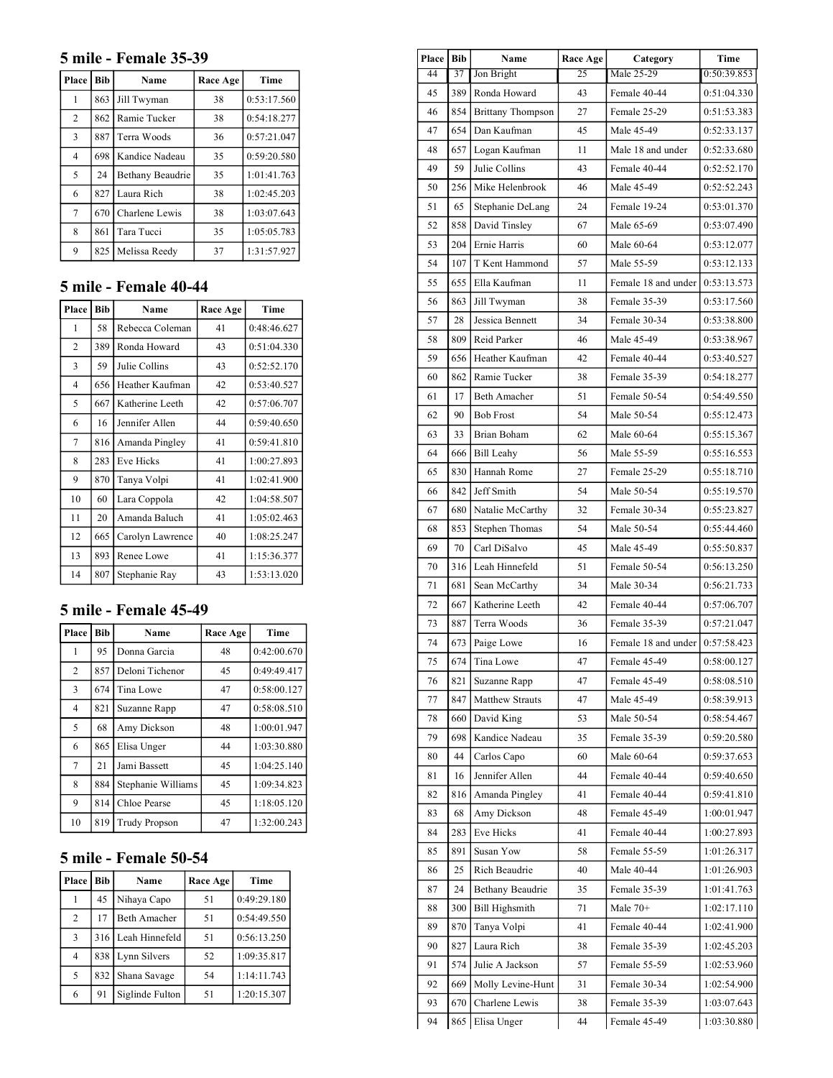#### **5 mile - Female 35-39**

| Place          | <b>Bib</b> | Name             | Race Age | Time        |
|----------------|------------|------------------|----------|-------------|
| 1              | 863        | Jill Twyman      | 38       | 0:53:17.560 |
| $\overline{2}$ | 862        | Ramie Tucker     | 38       | 0:54:18.277 |
| $\overline{3}$ | 887        | Terra Woods      | 36       | 0:57:21.047 |
| 4              | 698        | Kandice Nadeau   | 35       | 0:59:20.580 |
| 5              | 24         | Bethany Beaudrie | 35       | 1:01:41.763 |
| 6              | 827        | Laura Rich       | 38       | 1:02:45.203 |
| 7              | 670        | Charlene Lewis   | 38       | 1:03:07.643 |
| 8              | 861        | Tara Tucci       | 35       | 1:05:05.783 |
| 9              | 825        | Melissa Reedy    | 37       | 1:31:57.927 |

## **5 mile - Female 40-44**

| Place | <b>Bib</b> | Name             | Race Age | Time        |
|-------|------------|------------------|----------|-------------|
| 1     | 58         | Rebecca Coleman  | 41       | 0:48:46.627 |
| 2     | 389        | Ronda Howard     | 43       | 0:51:04.330 |
| 3     | 59         | Julie Collins    | 43       | 0:52:52.170 |
| 4     | 656        | Heather Kaufman  | 42       | 0:53:40.527 |
| 5     | 667        | Katherine Leeth  | 42       | 0:57:06.707 |
| 6     | 16         | Jennifer Allen   | 44       | 0:59:40.650 |
| 7     | 816        | Amanda Pingley   | 41       | 0:59:41.810 |
| 8     | 283        | <b>Eve Hicks</b> | 41       | 1:00:27.893 |
| 9     | 870        | Tanya Volpi      | 41       | 1:02:41.900 |
| 10    | 60         | Lara Coppola     | 42       | 1:04:58.507 |
| 11    | 20         | Amanda Baluch    | 41       | 1:05:02.463 |
| 12    | 665        | Carolyn Lawrence | 40       | 1:08:25.247 |
| 13    | 893        | Renee Lowe       | 41       | 1:15:36.377 |
| 14    | 807        | Stephanie Ray    | 43       | 1:53:13.020 |

# **5 mile - Female 45-49**

| Place          | <b>Bib</b> | Name                 | Race Age | Time        |
|----------------|------------|----------------------|----------|-------------|
| 1              | 95         | Donna Garcia         | 48       | 0:42:00.670 |
| $\overline{2}$ | 857        | Deloni Tichenor      | 45       | 0:49:49.417 |
| 3              | 674        | Tina Lowe            | 47       | 0:58:00.127 |
| $\overline{4}$ | 821        | Suzanne Rapp         | 47       | 0:58:08.510 |
| 5              | 68         | Amy Dickson          | 48       | 1:00:01.947 |
| 6              | 865        | Elisa Unger          | 44       | 1:03:30.880 |
| 7              | 21         | Jami Bassett         | 45       | 1:04:25.140 |
| 8              | 884        | Stephanie Williams   | 45       | 1:09:34.823 |
| 9              | 814        | Chloe Pearse         | 45       | 1:18:05.120 |
| 10             | 819        | <b>Trudy Propson</b> | 47       | 1:32:00.243 |

## **5 mile - Female 50-54**

| Place   Bib    |     | Name                | Race Age | Time        |
|----------------|-----|---------------------|----------|-------------|
|                | 45  | Nihaya Capo         | 51       | 0:49:29.180 |
| $\mathfrak{D}$ | 17  | <b>Beth Amacher</b> | 51       | 0:54:49.550 |
| 3              |     | 316 Leah Hinnefeld  | 51       | 0:56:13.250 |
| $\overline{4}$ | 838 | Lynn Silvers        | 52       | 1:09:35.817 |
| 5              | 832 | Shana Savage        | 54       | 1:14:11.743 |
| 6              | 91  | Siglinde Fulton     | 51       | 1:20:15.307 |

| Place | Bib | Name                     | Race Age | Category                          |             |
|-------|-----|--------------------------|----------|-----------------------------------|-------------|
| 44    | 37  | Jon Bright               | 25       | Male 25-29                        | 0:50:39.853 |
| 45    | 389 | Ronda Howard             | 43       | Female 40-44                      | 0:51:04.330 |
| 46    | 854 | <b>Brittany Thompson</b> | 27       | Female 25-29                      | 0:51:53.383 |
| 47    | 654 | Dan Kaufman              | 45       | Male 45-49                        | 0:52:33.137 |
| 48    | 657 | Logan Kaufman            | 11       | Male 18 and under                 | 0:52:33.680 |
| 49    | 59  | Julie Collins            | 43       | Female 40-44                      | 0:52:52.170 |
| 50    | 256 | Mike Helenbrook          | 46       | Male 45-49                        | 0:52:52.243 |
| 51    | 65  | Stephanie DeLang         | 24       | Female 19-24                      | 0:53:01.370 |
| 52    | 858 | David Tinsley            | 67       | Male 65-69                        | 0:53:07.490 |
| 53    | 204 | Ernie Harris             | 60       | Male 60-64                        | 0:53:12.077 |
| 54    | 107 | T Kent Hammond           | 57       | Male 55-59                        | 0:53:12.133 |
| 55    | 655 | Ella Kaufman             | 11       | Female 18 and under   0:53:13.573 |             |
| 56    | 863 | Jill Twyman              | 38       | Female 35-39                      | 0:53:17.560 |
| 57    | 28  | Jessica Bennett          | 34       | Female 30-34                      | 0:53:38.800 |
| 58    | 809 | Reid Parker              | 46       | Male 45-49                        | 0:53:38.967 |
| 59    | 656 | Heather Kaufman          | 42       | Female 40-44                      | 0:53:40.527 |
| 60    | 862 | Ramie Tucker             | 38       | Female 35-39                      | 0:54:18.277 |
| 61    | 17  | <b>Beth Amacher</b>      | 51       | Female 50-54                      | 0:54:49.550 |
| 62    | 90  | <b>Bob Frost</b>         | 54       | Male 50-54                        | 0:55:12.473 |
| 63    | 33  | Brian Boham              | 62       | Male 60-64                        | 0:55:15.367 |
| 64    | 666 | <b>Bill Leahy</b>        | 56       | Male 55-59                        | 0:55:16.553 |
| 65    | 830 | Hannah Rome              | 27       | Female 25-29                      | 0:55:18.710 |
| 66    | 842 | Jeff Smith               | 54       | Male 50-54                        | 0:55:19.570 |
| 67    | 680 | Natalie McCarthy         | 32       | Female 30-34                      | 0:55:23.827 |
| 68    | 853 | Stephen Thomas           | 54       | Male 50-54                        | 0:55:44.460 |
| 69    | 70  | Carl DiSalvo             | 45       | Male 45-49                        | 0:55:50.837 |
| 70    | 316 | Leah Hinnefeld           | 51       | Female 50-54                      | 0:56:13.250 |
| 71    | 681 | Sean McCarthy            | 34       | Male 30-34                        | 0:56:21.733 |
| 72    | 667 | Katherine Leeth          | 42       | Female 40-44                      | 0:57:06.707 |
| 73    | 887 | Terra Woods              | 36       | Female 35-39                      | 0:57:21.047 |
| 74    | 673 | Paige Lowe               | 16       | Female 18 and under               | 0:57:58.423 |
| 75    | 674 | Tina Lowe                | 47       | Female 45-49                      | 0:58:00.127 |
| 76    | 821 | Suzanne Rapp             | 47       | Female 45-49                      | 0:58:08.510 |
| 77    | 847 | Matthew Strauts          | 47       | Male 45-49                        | 0:58:39.913 |
| 78    | 660 | David King               | 53       | Male 50-54                        | 0:58:54.467 |
| 79    | 698 | Kandice Nadeau           | 35       | Female 35-39                      | 0:59:20.580 |
| 80    | 44  | Carlos Capo              | 60       | Male 60-64                        | 0:59:37.653 |
| 81    | 16  | Jennifer Allen           | 44       | Female 40-44                      | 0:59:40.650 |
| 82    | 816 | Amanda Pingley           | 41       | Female 40-44                      | 0:59:41.810 |
| 83    | 68  | Amy Dickson              | 48       | Female 45-49                      | 1:00:01.947 |
| 84    | 283 | Eve Hicks                | 41       | Female 40-44                      | 1:00:27.893 |
| 85    | 891 | Susan Yow                | 58       | Female 55-59                      | 1:01:26.317 |
| 86    | 25  | Rich Beaudrie            | 40       | Male 40-44                        | 1:01:26.903 |
| 87    | 24  | Bethany Beaudrie         | 35       | Female 35-39                      | 1:01:41.763 |
| 88    | 300 | Bill Highsmith           | 71       | Male $70+$                        | 1:02:17.110 |
| 89    | 870 | Tanya Volpi              | 41       | Female 40-44                      | 1:02:41.900 |
| 90    | 827 | Laura Rich               | 38       | Female 35-39                      | 1:02:45.203 |
| 91    | 574 | Julie A Jackson          | 57       | Female 55-59                      | 1:02:53.960 |
| 92    | 669 | Molly Levine-Hunt        | 31       | Female 30-34                      | 1:02:54.900 |
| 93    | 670 | Charlene Lewis           | 38       | Female 35-39                      | 1:03:07.643 |
| 94    | 865 | Elisa Unger              | 44       | Female 45-49                      | 1:03:30.880 |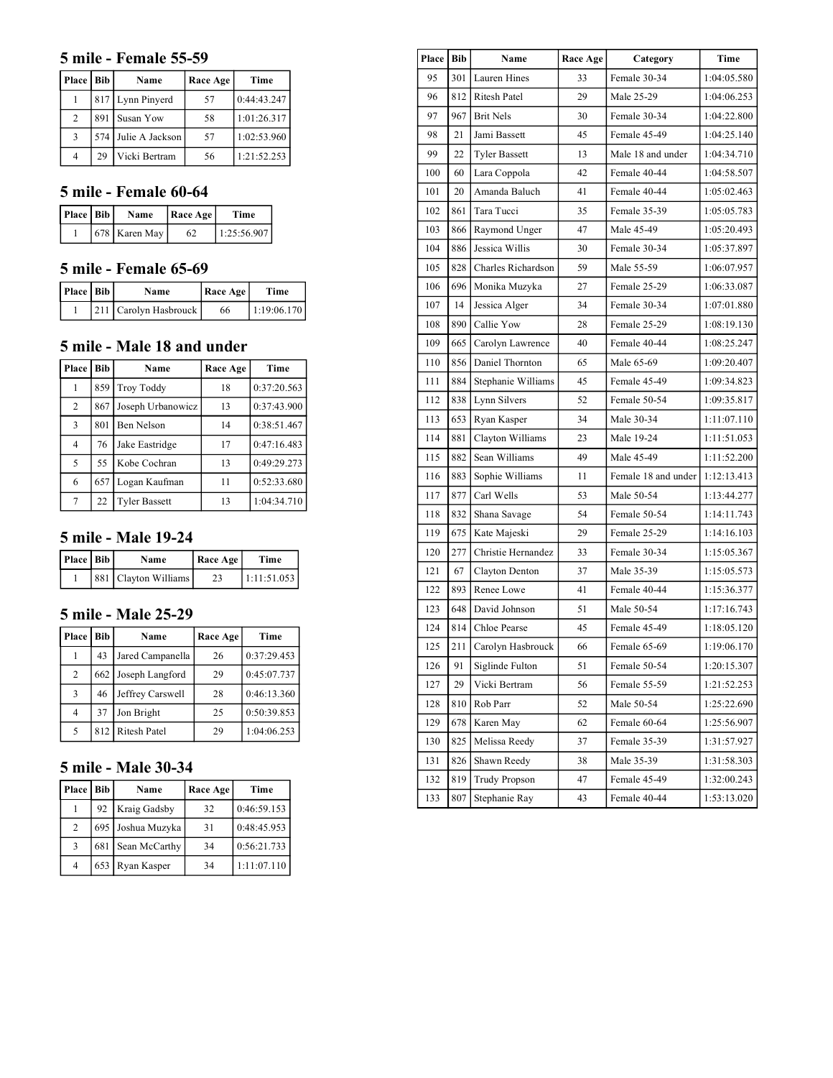#### **5 mile - Female 55-59**

| Place   Bib |    | Name                | Race Age | Time        |
|-------------|----|---------------------|----------|-------------|
|             |    | 817 Lynn Pinyerd    | 57       | 0:44:43.247 |
| 2           |    | 891 Susan Yow       | 58       | 1:01:26.317 |
| 3           |    | 574 Julie A Jackson | 57       | 1:02:53.960 |
|             | 29 | Vicki Bertram       | 56       | 1:21:52.253 |

### **5 mile - Female 60-64**

| Place   Bib | Name          | Race Age | Time        |
|-------------|---------------|----------|-------------|
|             | 678 Karen May |          | 1:25:56.907 |

# **5 mile - Female 65-69**

| Place   Bib | Name                  | Race Age | Time        |
|-------------|-----------------------|----------|-------------|
|             | 211 Carolyn Hasbrouck | 66       | 1:19:06.170 |

## **5 mile - Male 18 and under**

| <b>Place</b> l | Bib | Name                 | Race Age | Time        |
|----------------|-----|----------------------|----------|-------------|
|                | 859 | Troy Toddy           | 18       | 0:37:20.563 |
| $\overline{c}$ | 867 | Joseph Urbanowicz    | 13       | 0:37:43.900 |
| 3              | 801 | Ben Nelson           | 14       | 0:38:51.467 |
| 4              | 76  | Jake Eastridge       | 17       | 0:47:16.483 |
| 5              | 55  | Kobe Cochran         | 13       | 0:49:29.273 |
| 6              | 657 | Logan Kaufman        | 11       | 0:52:33.680 |
| $\tau$         | 22  | <b>Tyler Bassett</b> | 13       | 1:04:34.710 |

#### **5 mile - Male 19-24**

| Place   Bib | Name                 | Race Age | Time        |
|-------------|----------------------|----------|-------------|
|             | 881 Clayton Williams |          | 1:11:51.053 |

## **5 mile - Male 25-29**

| <b>Place</b> l | Bib | Name             | Race Age | Time        |
|----------------|-----|------------------|----------|-------------|
|                | 43  | Jared Campanella | 26       | 0:37:29.453 |
| $\overline{c}$ | 662 | Joseph Langford  | 29       | 0:45:07.737 |
| 3              | 46  | Jeffrey Carswell | 28       | 0:46:13.360 |
| 4              | 37  | Jon Bright       | 25       | 0:50:39.853 |
| 5              |     | 812 Ritesh Patel | 29       | 1:04:06.253 |

## **5 mile - Male 30-34**

| <b>Place</b> | Bib | Name                | Race Age | Time        |
|--------------|-----|---------------------|----------|-------------|
|              | 92  | Kraig Gadsby        | 32       | 0:46:59.153 |
| 2            |     | 695   Joshua Muzyka | 31       | 0:48:45.953 |
| 3            | 681 | Sean McCarthy       | 34       | 0:56:21.733 |
| 4            | 653 | Ryan Kasper         | 34       | 1:11:07.110 |

| Place   Bib |     | Name                 | Race Age | Category            | Time        |
|-------------|-----|----------------------|----------|---------------------|-------------|
| 95          | 301 | Lauren Hines         | 33       | Female 30-34        | 1:04:05.580 |
| 96          | 812 | <b>Ritesh Patel</b>  | 29       | Male 25-29          | 1:04:06.253 |
| 97          | 967 | <b>Brit Nels</b>     | 30       | Female 30-34        | 1:04:22.800 |
| 98          | 21  | Jami Bassett         | 45       | Female 45-49        | 1:04:25.140 |
| 99          | 22  | <b>Tyler Bassett</b> | 13       | Male 18 and under   | 1:04:34.710 |
| 100         | 60  | Lara Coppola         | 42       | Female 40-44        | 1:04:58.507 |
| 101         | 20  | Amanda Baluch        | 41       | Female 40-44        | 1:05:02.463 |
| 102         | 861 | Tara Tucci           | 35       | Female 35-39        | 1:05:05.783 |
| 103         | 866 | Raymond Unger        | 47       | Male 45-49          | 1:05:20.493 |
| 104         | 886 | Jessica Willis       | 30       | Female 30-34        | 1:05:37.897 |
| 105         | 828 | Charles Richardson   | 59       | Male 55-59          | 1:06:07.957 |
| 106         | 696 | Monika Muzyka        | 27       | Female 25-29        | 1:06:33.087 |
| 107         | 14  | Jessica Alger        | 34       | Female 30-34        | 1:07:01.880 |
| 108         | 890 | Callie Yow           | 28       | Female 25-29        | 1:08:19.130 |
| 109         | 665 | Carolyn Lawrence     | 40       | Female 40-44        | 1:08:25.247 |
| 110         | 856 | Daniel Thornton      | 65       | Male 65-69          | 1:09:20.407 |
| 111         | 884 | Stephanie Williams   | 45       | Female 45-49        | 1:09:34.823 |
| 112         | 838 | Lynn Silvers         | 52       | Female 50-54        | 1:09:35.817 |
| 113         | 653 | Ryan Kasper          | 34       | Male 30-34          | 1:11:07.110 |
| 114         | 881 | Clayton Williams     | 23       | Male 19-24          | 1:11:51.053 |
| 115         | 882 | Sean Williams        | 49       | Male 45-49          | 1:11:52.200 |
| 116         | 883 | Sophie Williams      | 11       | Female 18 and under | 1:12:13.413 |
| 117         | 877 | Carl Wells           | 53       | Male 50-54          | 1:13:44.277 |
| 118         | 832 | Shana Savage         | 54       | Female 50-54        | 1:14:11.743 |
| 119         | 675 | Kate Majeski         | 29       | Female 25-29        | 1:14:16.103 |
| 120         | 277 | Christie Hernandez   | 33       | Female 30-34        | 1:15:05.367 |
| 121         | 67  | Clayton Denton       | 37       | Male 35-39          | 1:15:05.573 |
| 122         | 893 | Renee Lowe           | 41       | Female 40-44        | 1:15:36.377 |
| 123         | 648 | David Johnson        | 51       | Male 50-54          | 1:17:16.743 |
| 124         | 814 | Chloe Pearse         | 45       | Female 45-49        | 1:18:05.120 |
| 125         | 211 | Carolyn Hasbrouck    | 66       | Female 65-69        | 1:19:06.170 |
| 126         | 91  | Siglinde Fulton      | 51       | Female 50-54        | 1:20:15.307 |
| 127         | 29  | Vicki Bertram        | 56       | Female 55-59        | 1:21:52.253 |
| 128         | 810 | Rob Parr             | 52       | Male 50-54          | 1:25:22.690 |
| 129         | 678 | Karen May            | 62       | Female 60-64        | 1:25:56.907 |
| 130         | 825 | Melissa Reedy        | 37       | Female 35-39        | 1:31:57.927 |
| 131         | 826 | Shawn Reedy          | 38       | Male 35-39          | 1:31:58.303 |
| 132         | 819 | Trudy Propson        | 47       | Female 45-49        | 1:32:00.243 |
| 133         | 807 | Stephanie Ray        | 43       | Female 40-44        | 1:53:13.020 |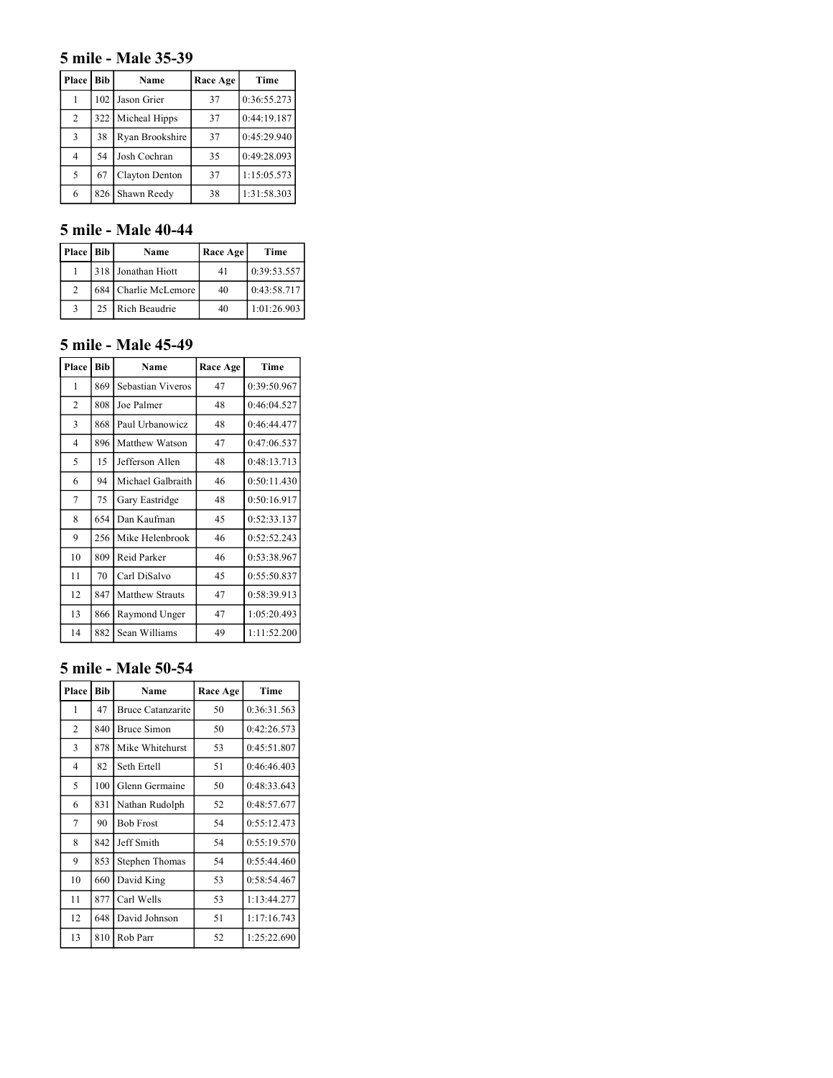### **5 mile - Male 35-39**

| Place | Bib | Name            | Race Age | Time        |
|-------|-----|-----------------|----------|-------------|
|       | 102 | Jason Grier     | 37       | 0:36:55.273 |
| 2     | 322 | Micheal Hipps   | 37       | 0:44:19.187 |
| 3     | 38  | Ryan Brookshire | 37       | 0:45:29.940 |
| 4     | 54  | Josh Cochran    | 35       | 0:49:28.093 |
| 5     | 67  | Clayton Denton  | 37       | 1:15:05.573 |
| 6     | 826 | Shawn Reedy     | 38       | 1:31:58.303 |

### **5 mile - Male 40-44**

| Place   Bib    |    | Name                 | Race Age | Time        |
|----------------|----|----------------------|----------|-------------|
|                |    | 318 Jonathan Hiott   | 41       | 0:39:53.557 |
| $\mathfrak{D}$ |    | 684 Charlie McLemore | 40       | 0:43:58.717 |
|                | 25 | Rich Beaudrie        | 40       | 1:01:26.903 |

### **5 mile - Male 45-49**

| Place          | <b>Bib</b> | Name              | Race Age | Time        |
|----------------|------------|-------------------|----------|-------------|
| 1              | 869        | Sebastian Viveros | 47       | 0:39:50.967 |
| $\overline{2}$ | 808        | Joe Palmer        | 48       | 0:46:04.527 |
| 3              | 868        | Paul Urbanowicz   | 48       | 0:46:44.477 |
| $\overline{4}$ | 896        | Matthew Watson    | 47       | 0:47:06.537 |
| 5              | 15         | Jefferson Allen   | 48       | 0:48:13.713 |
| 6              | 94         | Michael Galbraith | 46       | 0:50:11.430 |
| 7              | 75         | Gary Eastridge    | 48       | 0:50:16.917 |
| 8              | 654        | Dan Kaufman       | 45       | 0:52:33.137 |
| 9              | 256        | Mike Helenbrook   | 46       | 0:52:52.243 |
| 10             | 809        | Reid Parker       | 46       | 0:53:38.967 |
| 11             | 70         | Carl DiSalvo      | 45       | 0:55:50.837 |
| 12             | 847        | Matthew Strauts   | 47       | 0:58:39.913 |
| 13             | 866        | Raymond Unger     | 47       | 1:05:20.493 |
| 14             | 882        | Sean Williams     | 49       | 1:11:52.200 |

#### **5 mile - Male 50-54**

| Place          | <b>Bib</b> | Name                     | Race Age | Time        |
|----------------|------------|--------------------------|----------|-------------|
| 1              | 47         | <b>Bruce Catanzarite</b> | 50       | 0:36:31.563 |
| $\overline{2}$ | 840        | <b>Bruce Simon</b>       | 50       | 0:42:26.573 |
| 3              | 878        | Mike Whitehurst          | 53       | 0:45:51.807 |
| $\overline{4}$ | 82         | Seth Ertell              | 51       | 0:46:46.403 |
| 5              | 100        | Glenn Germaine           | 50       | 0:48:33.643 |
| 6              | 831        | Nathan Rudolph           | 52       | 0:48:57.677 |
| 7              | 90         | <b>Bob Frost</b>         | 54       | 0:55:12.473 |
| 8              | 842        | Jeff Smith               | 54       | 0:55:19.570 |
| 9              | 853        | <b>Stephen Thomas</b>    | 54       | 0:55:44.460 |
| 10             | 660        | David King               | 53       | 0:58:54.467 |
| 11             | 877        | Carl Wells               | 53       | 1:13:44.277 |
| 12             | 648        | David Johnson            | 51       | 1:17:16.743 |
| 13             | 810        | Rob Parr                 | 52       | 1:25:22.690 |